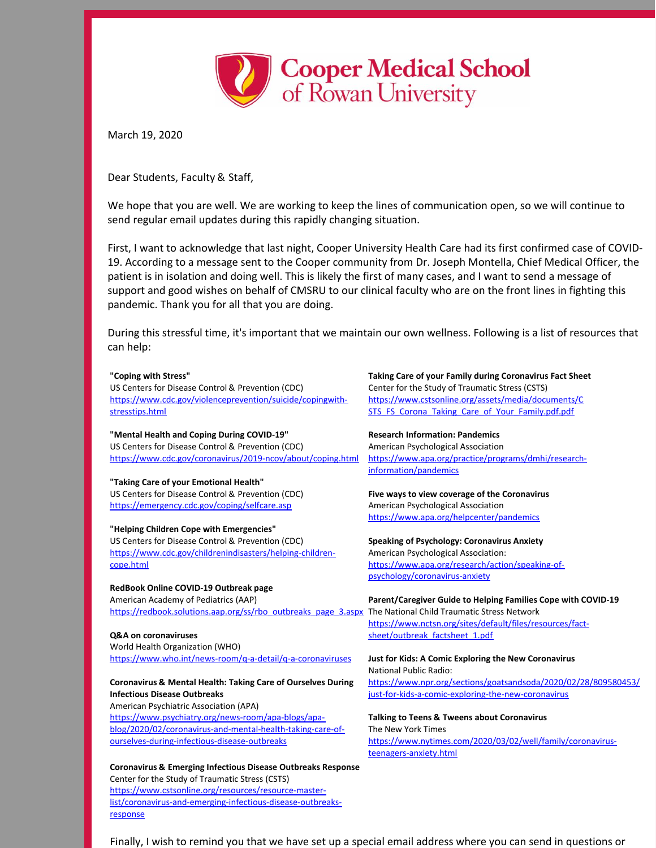

March 19, 2020

Dear Students, Faculty & Staff,

We hope that you are well. We are working to keep the lines of communication open, so we will continue to send regular email updates during this rapidly changing situation.

First, I want to acknowledge that last night, Cooper University Health Care had its first confirmed case of COVID-19. According to a message sent to the Cooper community from Dr. Joseph Montella, Chief Medical Officer, the patient is in isolation and doing well. This is likely the first of many cases, and I want to send a message of support and good wishes on behalf of CMSRU to our clinical faculty who are on the front lines in fighting this pandemic. Thank you for all that you are doing.

During this stressful time, it's important that we maintain our own wellness. Following is a list of resources that can help:

## **"Coping with Stress"**

US Centers for Disease Control & Prevention (CDC) [https://www.cdc.gov/violenceprevention/suicide/copingwith](https://www.cdc.gov/violenceprevention/suicide/copingwith-stresstips.html)stresstips.html

**"Mental Health and Coping During COVID-19"** US Centers for Disease Control & Prevention (CDC) <https://www.cdc.gov/coronavirus/2019-ncov/about/coping.html>

## **"Taking Care of your Emotional Health"**

US Centers for Disease Control & Prevention (CDC) <https://emergency.cdc.gov/coping/selfcare.asp>

## **"Helping Children Cope with Emergencies"**

US Centers for Disease Control & Prevention (CDC) [https://www.cdc.gov/childrenindisasters/helping-children](https://www.cdc.gov/childrenindisasters/helping-children-cope.html)cope.html

**RedBook Online COVID-19 Outbreak page** American Academy of Pediatrics (AAP) [https://redbook.solutions.aap.org/ss/rbo\\_outbreaks\\_page\\_3.aspx](https://redbook.solutions.aap.org/ss/rbo_outbreaks_page_3.aspx)

**Q&A on coronaviruses** World Health Organization (WHO)

<https://www.who.int/news-room/q-a-detail/q-a-coronaviruses>

## **Coronavirus & Mental Health: Taking Care of Ourselves During Infectious Disease Outbreaks**

American Psychiatric Association (APA) https://www.psychiatry.org/news-room/apa-blogs/apa[blog/2020/02/coronavirus-and-mental-health-taking-care-of](https://www.psychiatry.org/news-room/apa-blogs/apa-blog/2020/02/coronavirus-and-mental-health-taking-care-of-ourselves-during-infectious-disease-outbreaks)ourselves-during-infectious-disease-outbreaks

**Coronavirus & Emerging Infectious Disease Outbreaks Response** Center for the Study of Traumatic Stress (CSTS) https://www.cstsonline.org/resources/resource-master[list/coronavirus-and-emerging-infectious-disease-outbreaks](https://www.cstsonline.org/resources/resource-master-list/coronavirus-and-emerging-infectious-disease-outbreaks-response)response

**Taking Care of your Family during Coronavirus Fact Sheet** Center for the Study of Traumatic Stress (CSTS) [https://www.cstsonline.org/assets/media/documents/C](https://www.cstsonline.org/assets/media/documents/) [STS\\_FS\\_Corona\\_Taking\\_Care\\_of\\_Your\\_Family.pdf.pdf](http://sts_fs_corona_taking_care_of_your_family.pdf.pdf)

**Research Information: Pandemics** American Psychological Association [https://www.apa.org/practice/programs/dmhi/research](https://www.apa.org/practice/programs/dmhi/research-information/pandemics)information/pandemics

**Five ways to view coverage of the Coronavirus** American Psychological Association <https://www.apa.org/helpcenter/pandemics>

**Speaking of Psychology: Coronavirus Anxiety** American Psychological Association: [https://www.apa.org/research/action/speaking-of](https://www.apa.org/research/action/speaking-of-psychology/coronavirus-anxiety)psychology/coronavirus-anxiety

**Parent/Caregiver Guide to Helping Families Cope with COVID-19** The National Child Traumatic Stress Network [https://www.nctsn.org/sites/default/files/resources/fact](https://www.nctsn.org/sites/default/files/resources/fact-sheet/outbreak_factsheet_1.pdf)sheet/outbreak\_factsheet\_1.pdf

**Just for Kids: A Comic Exploring the New Coronavirus** National Public Radio: [https://www.npr.org/sections/goatsandsoda/2020/02/28/809580453/](https://www.npr.org/sections/goatsandsoda/2020/02/28/809580453) [j](https://www.npr.org/sections/goatsandsoda/2020/02/28/809580453)[ust-for-kids-a-comic-exploring-the-new-coronavirus](https://www.npr.org/sections/goatsandsoda/2020/02/28/809580453/)

**Talking to Teens & Tweens about Coronavirus** The New York Times [https://www.nytimes.com/2020/03/02/well/family/coronavirus](https://www.nytimes.com/2020/03/02/well/family/coronavirus-teenagers-anxiety.html)teenagers-anxiety.html

Finally, I wish to remind you that we have set up a special email address where you can send in questions or